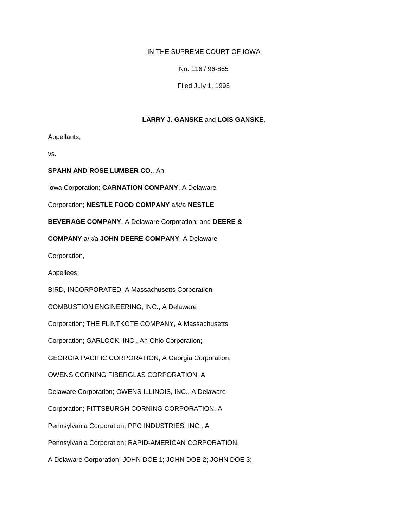## IN THE SUPREME COURT OF IOWA

No. 116 / 96-865

Filed July 1, 1998

## **LARRY J. GANSKE** and **LOIS GANSKE**,

Appellants,

vs.

**SPAHN AND ROSE LUMBER CO.**, An

Iowa Corporation; **CARNATION COMPANY**, A Delaware

Corporation; **NESTLE FOOD COMPANY** a/k/a **NESTLE**

**BEVERAGE COMPANY**, A Delaware Corporation; and **DEERE &**

**COMPANY** a/k/a **JOHN DEERE COMPANY**, A Delaware

Corporation,

Appellees,

BIRD, INCORPORATED, A Massachusetts Corporation;

COMBUSTION ENGINEERING, INC., A Delaware

Corporation; THE FLINTKOTE COMPANY, A Massachusetts

Corporation; GARLOCK, INC., An Ohio Corporation;

GEORGIA PACIFIC CORPORATION, A Georgia Corporation;

OWENS CORNING FIBERGLAS CORPORATION, A

Delaware Corporation; OWENS ILLINOIS, INC., A Delaware

Corporation; PITTSBURGH CORNING CORPORATION, A

Pennsylvania Corporation; PPG INDUSTRIES, INC., A

Pennsylvania Corporation; RAPID-AMERICAN CORPORATION,

A Delaware Corporation; JOHN DOE 1; JOHN DOE 2; JOHN DOE 3;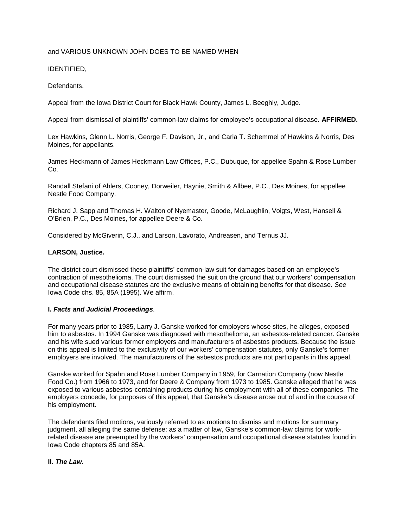# and VARIOUS UNKNOWN JOHN DOES TO BE NAMED WHEN

# IDENTIFIED,

## Defendants.

Appeal from the Iowa District Court for Black Hawk County, James L. Beeghly, Judge.

Appeal from dismissal of plaintiffs' common-law claims for employee's occupational disease. **AFFIRMED.**

Lex Hawkins, Glenn L. Norris, George F. Davison, Jr., and Carla T. Schemmel of Hawkins & Norris, Des Moines, for appellants.

James Heckmann of James Heckmann Law Offices, P.C., Dubuque, for appellee Spahn & Rose Lumber Co.

Randall Stefani of Ahlers, Cooney, Dorweiler, Haynie, Smith & Allbee, P.C., Des Moines, for appellee Nestle Food Company.

Richard J. Sapp and Thomas H. Walton of Nyemaster, Goode, McLaughlin, Voigts, West, Hansell & O'Brien, P.C., Des Moines, for appellee Deere & Co.

Considered by McGiverin, C.J., and Larson, Lavorato, Andreasen, and Ternus JJ.

## **LARSON, Justice.**

The district court dismissed these plaintiffs' common-law suit for damages based on an employee's contraction of mesothelioma. The court dismissed the suit on the ground that our workers' compensation and occupational disease statutes are the exclusive means of obtaining benefits for that disease. *See* Iowa Code chs. 85, 85A (1995). We affirm.

### **I.** *Facts and Judicial Proceedings*.

For many years prior to 1985, Larry J. Ganske worked for employers whose sites, he alleges, exposed him to asbestos. In 1994 Ganske was diagnosed with mesothelioma, an asbestos-related cancer. Ganske and his wife sued various former employers and manufacturers of asbestos products. Because the issue on this appeal is limited to the exclusivity of our workers' compensation statutes, only Ganske's former employers are involved. The manufacturers of the asbestos products are not participants in this appeal.

Ganske worked for Spahn and Rose Lumber Company in 1959, for Carnation Company (now Nestle Food Co.) from 1966 to 1973, and for Deere & Company from 1973 to 1985. Ganske alleged that he was exposed to various asbestos-containing products during his employment with all of these companies. The employers concede, for purposes of this appeal, that Ganske's disease arose out of and in the course of his employment.

The defendants filed motions, variously referred to as motions to dismiss and motions for summary judgment, all alleging the same defense: as a matter of law, Ganske's common-law claims for workrelated disease are preempted by the workers' compensation and occupational disease statutes found in Iowa Code chapters 85 and 85A.

## **II.** *The Law.*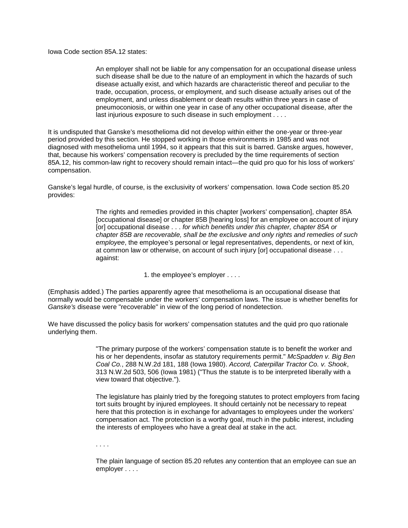Iowa Code section 85A.12 states:

An employer shall not be liable for any compensation for an occupational disease unless such disease shall be due to the nature of an employment in which the hazards of such disease actually exist, and which hazards are characteristic thereof and peculiar to the trade, occupation, process, or employment, and such disease actually arises out of the employment, and unless disablement or death results within three years in case of pneumoconiosis, or within one year in case of any other occupational disease, after the last injurious exposure to such disease in such employment . . . .

It is undisputed that Ganske's mesothelioma did not develop within either the one-year or three-year period provided by this section. He stopped working in those environments in 1985 and was not diagnosed with mesothelioma until 1994, so it appears that this suit is barred. Ganske argues, however, that, because his workers' compensation recovery is precluded by the time requirements of section 85A.12, his common-law right to recovery should remain intact—the quid pro quo for his loss of workers' compensation.

Ganske's legal hurdle, of course, is the exclusivity of workers' compensation. Iowa Code section 85.20 provides:

> The rights and remedies provided in this chapter [workers' compensation], chapter 85A [occupational disease] or chapter 85B [hearing loss] for an employee on account of injury [or] occupational disease . . . *for which benefits under this chapter, chapter 85A or chapter 85B are recoverable, shall be the exclusive and only rights and remedies of such employee*, the employee's personal or legal representatives, dependents, or next of kin, at common law or otherwise, on account of such injury [or] occupational disease . . . against:

> > 1. the employee's employer . . . .

(Emphasis added.) The parties apparently agree that mesothelioma is an occupational disease that normally would be compensable under the workers' compensation laws. The issue is whether benefits for *Ganske's* disease were "recoverable" in view of the long period of nondetection.

We have discussed the policy basis for workers' compensation statutes and the quid pro quo rationale underlying them.

> "The primary purpose of the workers' compensation statute is to benefit the worker and his or her dependents, insofar as statutory requirements permit." *McSpadden v. Big Ben Coal Co.*, 288 N.W.2d 181, 188 (Iowa 1980). *Accord, Caterpillar Tractor Co. v. Shook*, 313 N.W.2d 503, 506 (Iowa 1981) ("Thus the statute is to be interpreted liberally with a view toward that objective.").

The legislature has plainly tried by the foregoing statutes to protect employers from facing tort suits brought by injured employees. It should certainly not be necessary to repeat here that this protection is in exchange for advantages to employees under the workers' compensation act. The protection is a worthy goal, much in the public interest, including the interests of employees who have a great deal at stake in the act.

. . . .

The plain language of section 85.20 refutes any contention that an employee can sue an employer . . . .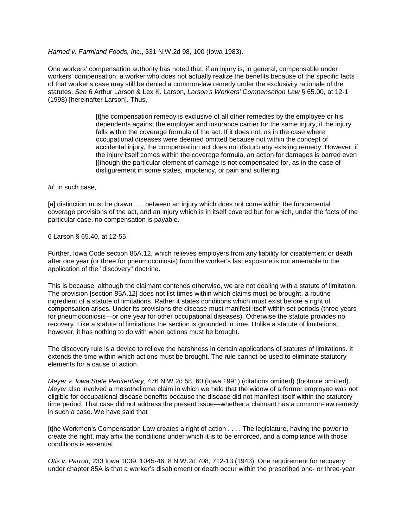### *Harned v. Farmland Foods, Inc.*, 331 N.W.2d 98, 100 (Iowa 1983).

One workers' compensation authority has noted that, if an injury is, in general, compensable under workers' compensation, a worker who does not actually realize the benefits because of the specific facts of that worker's case may still be denied a common-law remedy under the exclusivity rationale of the statutes. *See* 6 Arthur Larson & Lex K. Larson, *Larson's Workers' Compensation Law* § 65.00, at 12-1 (1998) [hereinafter Larson]. Thus,

> [t]he compensation remedy is exclusive of all other remedies by the employee or his dependents against the employer and insurance carrier for the same injury, if the injury falls within the coverage formula of the act. If it does not, as in the case where occupational diseases were deemed omitted because not within the concept of accidental injury, the compensation act does not disturb any existing remedy. However, if the injury itself comes within the coverage formula, an action for damages is barred even [Ithough the particular element of damage is not compensated for, as in the case of disfigurement in some states, impotency, or pain and suffering.

*Id.* In such case,

[a] distinction must be drawn . . . between an injury which does not come within the fundamental coverage provisions of the act, and an injury which is in itself covered but for which, under the facts of the particular case, no compensation is payable.

6 Larson § 65.40, at 12-55.

Further, Iowa Code section 85A.12, which relieves employers from any liability for disablement or death after one year (or three for pneumoconiosis) from the worker's last exposure is not amenable to the application of the "discovery" doctrine.

This is because, although the claimant contends otherwise, we are not dealing with a statute of limitation. The provision [section 85A.12] does not list times within which claims must be brought, a routine ingredient of a statute of limitations. Rather it states conditions which must exist before a right of compensation arises. Under its provisions the disease must manifest itself within set periods (three years for pneumoconiosis—or one year for other occupational diseases). Otherwise the statute provides no recovery. Like a statute of limitations the section is grounded in time. Unlike a statute of limitations, however, it has nothing to do with when actions must be brought.

The discovery rule is a device to relieve the harshness in certain applications of statutes of limitations. It extends the time within which actions must be brought. The rule cannot be used to eliminate statutory elements for a cause of action.

*Meyer v. Iowa State Penitentiary*, 476 N.W.2d 58, 60 (Iowa 1991) (citations omitted) (footnote omitted). *Meyer* also involved a mesothelioma claim in which we held that the widow of a former employee was not eligible for occupational disease benefits because the disease did not manifest itself within the statutory time period. That case did not address the present issue—whether a claimant has a common-law remedy in such a case. We have said that

[t]he Workmen's Compensation Law creates a right of action . . . . The legislature, having the power to create the right, may affix the conditions under which it is to be enforced, and a compliance with those conditions is essential.

*Otis v. Parrott*, 233 Iowa 1039, 1045-46, 8 N.W.2d 708, 712-13 (1943). One requirement for recovery under chapter 85A is that a worker's disablement or death occur within the prescribed one- or three-year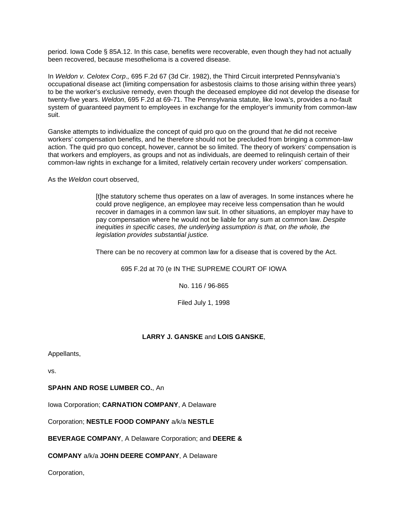period. Iowa Code § 85A.12. In this case, benefits were recoverable, even though they had not actually been recovered, because mesothelioma is a covered disease.

In *Weldon v. Celotex Corp*.*,* 695 F.2d 67 (3d Cir. 1982), the Third Circuit interpreted Pennsylvania's occupational disease act (limiting compensation for asbestosis claims to those arising within three years) to be the worker's exclusive remedy, even though the deceased employee did not develop the disease for twenty-five years. *Weldon*, 695 F.2d at 69-71. The Pennsylvania statute, like Iowa's, provides a no-fault system of guaranteed payment to employees in exchange for the employer's immunity from common-law suit.

Ganske attempts to individualize the concept of quid pro quo on the ground that *he* did not receive workers' compensation benefits, and he therefore should not be precluded from bringing a common-law action. The quid pro quo concept, however, cannot be so limited. The theory of workers' compensation is that workers and employers, as groups and not as individuals, are deemed to relinquish certain of their common-law rights in exchange for a limited, relatively certain recovery under workers' compensation.

As the *Weldon* court observed,

[t]he statutory scheme thus operates on a law of averages. In some instances where he could prove negligence, an employee may receive less compensation than he would recover in damages in a common law suit. In other situations, an employer may have to pay compensation where he would not be liable for any sum at common law. *Despite inequities in specific cases, the underlying assumption is that, on the whole, the legislation provides substantial justice.*

There can be no recovery at common law for a disease that is covered by the Act.

695 F.2d at 70 (e IN THE SUPREME COURT OF IOWA

No. 116 / 96-865

Filed July 1, 1998

# **LARRY J. GANSKE** and **LOIS GANSKE**,

Appellants,

vs.

**SPAHN AND ROSE LUMBER CO.**, An

Iowa Corporation; **CARNATION COMPANY**, A Delaware

Corporation; **NESTLE FOOD COMPANY** a/k/a **NESTLE**

**BEVERAGE COMPANY**, A Delaware Corporation; and **DEERE &**

**COMPANY** a/k/a **JOHN DEERE COMPANY**, A Delaware

Corporation,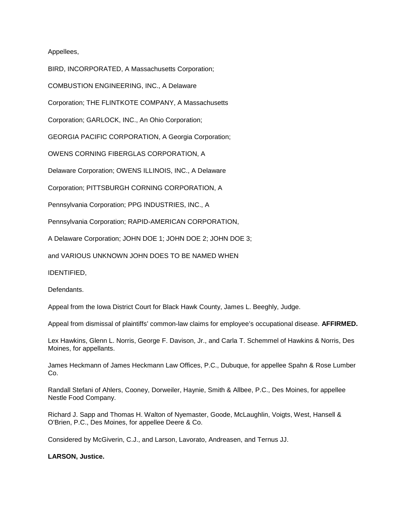Appellees,

BIRD, INCORPORATED, A Massachusetts Corporation;

COMBUSTION ENGINEERING, INC., A Delaware

Corporation; THE FLINTKOTE COMPANY, A Massachusetts

Corporation; GARLOCK, INC., An Ohio Corporation;

GEORGIA PACIFIC CORPORATION, A Georgia Corporation;

OWENS CORNING FIBERGLAS CORPORATION, A

Delaware Corporation; OWENS ILLINOIS, INC., A Delaware

Corporation; PITTSBURGH CORNING CORPORATION, A

Pennsylvania Corporation; PPG INDUSTRIES, INC., A

Pennsylvania Corporation; RAPID-AMERICAN CORPORATION,

A Delaware Corporation; JOHN DOE 1; JOHN DOE 2; JOHN DOE 3;

and VARIOUS UNKNOWN JOHN DOES TO BE NAMED WHEN

IDENTIFIED,

Defendants.

Appeal from the Iowa District Court for Black Hawk County, James L. Beeghly, Judge.

Appeal from dismissal of plaintiffs' common-law claims for employee's occupational disease. **AFFIRMED.**

Lex Hawkins, Glenn L. Norris, George F. Davison, Jr., and Carla T. Schemmel of Hawkins & Norris, Des Moines, for appellants.

James Heckmann of James Heckmann Law Offices, P.C., Dubuque, for appellee Spahn & Rose Lumber Co.

Randall Stefani of Ahlers, Cooney, Dorweiler, Haynie, Smith & Allbee, P.C., Des Moines, for appellee Nestle Food Company.

Richard J. Sapp and Thomas H. Walton of Nyemaster, Goode, McLaughlin, Voigts, West, Hansell & O'Brien, P.C., Des Moines, for appellee Deere & Co.

Considered by McGiverin, C.J., and Larson, Lavorato, Andreasen, and Ternus JJ.

**LARSON, Justice.**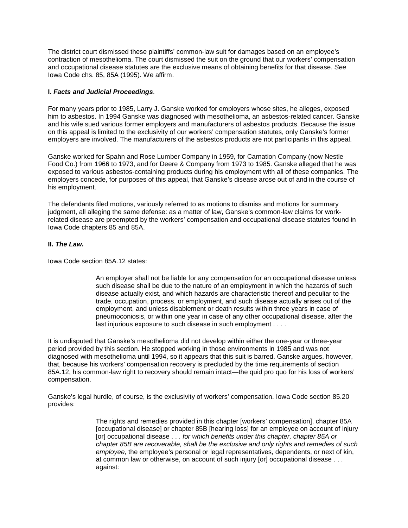The district court dismissed these plaintiffs' common-law suit for damages based on an employee's contraction of mesothelioma. The court dismissed the suit on the ground that our workers' compensation and occupational disease statutes are the exclusive means of obtaining benefits for that disease. *See* Iowa Code chs. 85, 85A (1995). We affirm.

## **I.** *Facts and Judicial Proceedings*.

For many years prior to 1985, Larry J. Ganske worked for employers whose sites, he alleges, exposed him to asbestos. In 1994 Ganske was diagnosed with mesothelioma, an asbestos-related cancer. Ganske and his wife sued various former employers and manufacturers of asbestos products. Because the issue on this appeal is limited to the exclusivity of our workers' compensation statutes, only Ganske's former employers are involved. The manufacturers of the asbestos products are not participants in this appeal.

Ganske worked for Spahn and Rose Lumber Company in 1959, for Carnation Company (now Nestle Food Co.) from 1966 to 1973, and for Deere & Company from 1973 to 1985. Ganske alleged that he was exposed to various asbestos-containing products during his employment with all of these companies. The employers concede, for purposes of this appeal, that Ganske's disease arose out of and in the course of his employment.

The defendants filed motions, variously referred to as motions to dismiss and motions for summary judgment, all alleging the same defense: as a matter of law, Ganske's common-law claims for workrelated disease are preempted by the workers' compensation and occupational disease statutes found in Iowa Code chapters 85 and 85A.

## **II.** *The Law.*

Iowa Code section 85A.12 states:

An employer shall not be liable for any compensation for an occupational disease unless such disease shall be due to the nature of an employment in which the hazards of such disease actually exist, and which hazards are characteristic thereof and peculiar to the trade, occupation, process, or employment, and such disease actually arises out of the employment, and unless disablement or death results within three years in case of pneumoconiosis, or within one year in case of any other occupational disease, after the last injurious exposure to such disease in such employment . . . .

It is undisputed that Ganske's mesothelioma did not develop within either the one-year or three-year period provided by this section. He stopped working in those environments in 1985 and was not diagnosed with mesothelioma until 1994, so it appears that this suit is barred. Ganske argues, however, that, because his workers' compensation recovery is precluded by the time requirements of section 85A.12, his common-law right to recovery should remain intact—the quid pro quo for his loss of workers' compensation.

Ganske's legal hurdle, of course, is the exclusivity of workers' compensation. Iowa Code section 85.20 provides:

> The rights and remedies provided in this chapter [workers' compensation], chapter 85A [occupational disease] or chapter 85B [hearing loss] for an employee on account of injury [or] occupational disease . . . *for which benefits under this chapter, chapter 85A or chapter 85B are recoverable, shall be the exclusive and only rights and remedies of such employee*, the employee's personal or legal representatives, dependents, or next of kin, at common law or otherwise, on account of such injury [or] occupational disease . . . against: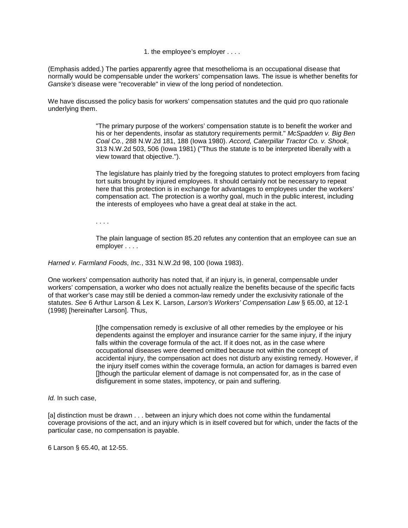1. the employee's employer . . . .

(Emphasis added.) The parties apparently agree that mesothelioma is an occupational disease that normally would be compensable under the workers' compensation laws. The issue is whether benefits for *Ganske's* disease were "recoverable" in view of the long period of nondetection.

We have discussed the policy basis for workers' compensation statutes and the quid pro quo rationale underlying them.

> "The primary purpose of the workers' compensation statute is to benefit the worker and his or her dependents, insofar as statutory requirements permit." *McSpadden v. Big Ben Coal Co.*, 288 N.W.2d 181, 188 (Iowa 1980). *Accord, Caterpillar Tractor Co. v. Shook*, 313 N.W.2d 503, 506 (Iowa 1981) ("Thus the statute is to be interpreted liberally with a view toward that objective.").

The legislature has plainly tried by the foregoing statutes to protect employers from facing tort suits brought by injured employees. It should certainly not be necessary to repeat here that this protection is in exchange for advantages to employees under the workers' compensation act. The protection is a worthy goal, much in the public interest, including the interests of employees who have a great deal at stake in the act.

. . . .

The plain language of section 85.20 refutes any contention that an employee can sue an employer . . . .

*Harned v. Farmland Foods, Inc.*, 331 N.W.2d 98, 100 (Iowa 1983).

One workers' compensation authority has noted that, if an injury is, in general, compensable under workers' compensation, a worker who does not actually realize the benefits because of the specific facts of that worker's case may still be denied a common-law remedy under the exclusivity rationale of the statutes. *See* 6 Arthur Larson & Lex K. Larson, *Larson's Workers' Compensation Law* § 65.00, at 12-1 (1998) [hereinafter Larson]. Thus,

> [t]he compensation remedy is exclusive of all other remedies by the employee or his dependents against the employer and insurance carrier for the same injury, if the injury falls within the coverage formula of the act. If it does not, as in the case where occupational diseases were deemed omitted because not within the concept of accidental injury, the compensation act does not disturb any existing remedy. However, if the injury itself comes within the coverage formula, an action for damages is barred even []though the particular element of damage is not compensated for, as in the case of disfigurement in some states, impotency, or pain and suffering.

*Id.* In such case,

[a] distinction must be drawn . . . between an injury which does not come within the fundamental coverage provisions of the act, and an injury which is in itself covered but for which, under the facts of the particular case, no compensation is payable.

6 Larson § 65.40, at 12-55.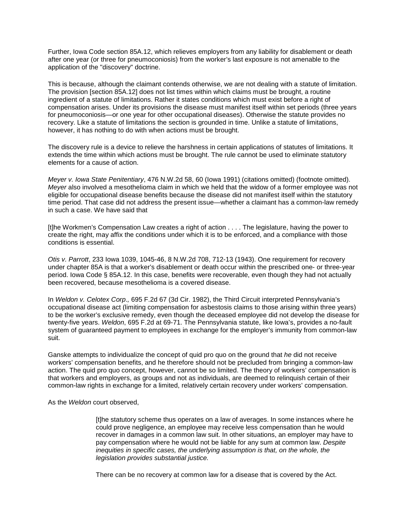Further, Iowa Code section 85A.12, which relieves employers from any liability for disablement or death after one year (or three for pneumoconiosis) from the worker's last exposure is not amenable to the application of the "discovery" doctrine.

This is because, although the claimant contends otherwise, we are not dealing with a statute of limitation. The provision [section 85A.12] does not list times within which claims must be brought, a routine ingredient of a statute of limitations. Rather it states conditions which must exist before a right of compensation arises. Under its provisions the disease must manifest itself within set periods (three years for pneumoconiosis—or one year for other occupational diseases). Otherwise the statute provides no recovery. Like a statute of limitations the section is grounded in time. Unlike a statute of limitations, however, it has nothing to do with when actions must be brought.

The discovery rule is a device to relieve the harshness in certain applications of statutes of limitations. It extends the time within which actions must be brought. The rule cannot be used to eliminate statutory elements for a cause of action.

*Meyer v. Iowa State Penitentiary*, 476 N.W.2d 58, 60 (Iowa 1991) (citations omitted) (footnote omitted). *Meyer* also involved a mesothelioma claim in which we held that the widow of a former employee was not eligible for occupational disease benefits because the disease did not manifest itself within the statutory time period. That case did not address the present issue—whether a claimant has a common-law remedy in such a case. We have said that

[t]he Workmen's Compensation Law creates a right of action . . . . The legislature, having the power to create the right, may affix the conditions under which it is to be enforced, and a compliance with those conditions is essential.

*Otis v. Parrott*, 233 Iowa 1039, 1045-46, 8 N.W.2d 708, 712-13 (1943). One requirement for recovery under chapter 85A is that a worker's disablement or death occur within the prescribed one- or three-year period. Iowa Code § 85A.12. In this case, benefits were recoverable, even though they had not actually been recovered, because mesothelioma is a covered disease.

In *Weldon v. Celotex Corp*.*,* 695 F.2d 67 (3d Cir. 1982), the Third Circuit interpreted Pennsylvania's occupational disease act (limiting compensation for asbestosis claims to those arising within three years) to be the worker's exclusive remedy, even though the deceased employee did not develop the disease for twenty-five years. *Weldon*, 695 F.2d at 69-71. The Pennsylvania statute, like Iowa's, provides a no-fault system of guaranteed payment to employees in exchange for the employer's immunity from common-law suit.

Ganske attempts to individualize the concept of quid pro quo on the ground that *he* did not receive workers' compensation benefits, and he therefore should not be precluded from bringing a common-law action. The quid pro quo concept, however, cannot be so limited. The theory of workers' compensation is that workers and employers, as groups and not as individuals, are deemed to relinquish certain of their common-law rights in exchange for a limited, relatively certain recovery under workers' compensation.

As the *Weldon* court observed,

[t]he statutory scheme thus operates on a law of averages. In some instances where he could prove negligence, an employee may receive less compensation than he would recover in damages in a common law suit. In other situations, an employer may have to pay compensation where he would not be liable for any sum at common law. *Despite inequities in specific cases, the underlying assumption is that, on the whole, the legislation provides substantial justice.*

There can be no recovery at common law for a disease that is covered by the Act.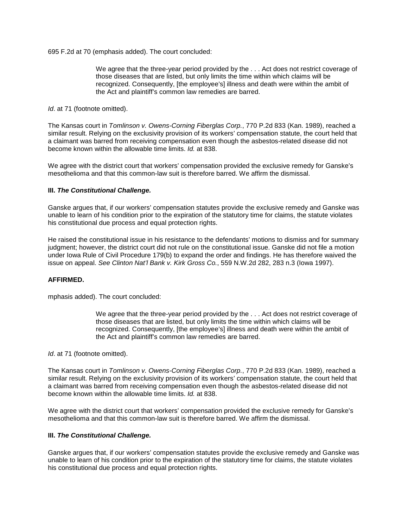695 F.2d at 70 (emphasis added). The court concluded:

We agree that the three-year period provided by the . . . Act does not restrict coverage of those diseases that are listed, but only limits the time within which claims will be recognized. Consequently, [the employee's] illness and death were within the ambit of the Act and plaintiff's common law remedies are barred.

*Id.* at 71 (footnote omitted).

The Kansas court in *Tomlinson v. Owens-Corning Fiberglas Corp.*, 770 P.2d 833 (Kan. 1989), reached a similar result. Relying on the exclusivity provision of its workers' compensation statute, the court held that a claimant was barred from receiving compensation even though the asbestos-related disease did not become known within the allowable time limits. *Id.* at 838.

We agree with the district court that workers' compensation provided the exclusive remedy for Ganske's mesothelioma and that this common-law suit is therefore barred. We affirm the dismissal.

### **III.** *The Constitutional Challenge.*

Ganske argues that, if our workers' compensation statutes provide the exclusive remedy and Ganske was unable to learn of his condition prior to the expiration of the statutory time for claims, the statute violates his constitutional due process and equal protection rights.

He raised the constitutional issue in his resistance to the defendants' motions to dismiss and for summary judgment; however, the district court did not rule on the constitutional issue. Ganske did not file a motion under Iowa Rule of Civil Procedure 179(b) to expand the order and findings. He has therefore waived the issue on appeal. *See Clinton Nat'l Bank v. Kirk Gross Co.*, 559 N.W.2d 282, 283 n.3 (Iowa 1997).

#### **AFFIRMED.**

mphasis added). The court concluded:

We agree that the three-year period provided by the . . . Act does not restrict coverage of those diseases that are listed, but only limits the time within which claims will be recognized. Consequently, [the employee's] illness and death were within the ambit of the Act and plaintiff's common law remedies are barred.

*Id*. at 71 (footnote omitted).

The Kansas court in *Tomlinson v. Owens-Corning Fiberglas Corp.*, 770 P.2d 833 (Kan. 1989), reached a similar result. Relying on the exclusivity provision of its workers' compensation statute, the court held that a claimant was barred from receiving compensation even though the asbestos-related disease did not become known within the allowable time limits. *Id.* at 838.

We agree with the district court that workers' compensation provided the exclusive remedy for Ganske's mesothelioma and that this common-law suit is therefore barred. We affirm the dismissal.

#### **III.** *The Constitutional Challenge.*

Ganske argues that, if our workers' compensation statutes provide the exclusive remedy and Ganske was unable to learn of his condition prior to the expiration of the statutory time for claims, the statute violates his constitutional due process and equal protection rights.